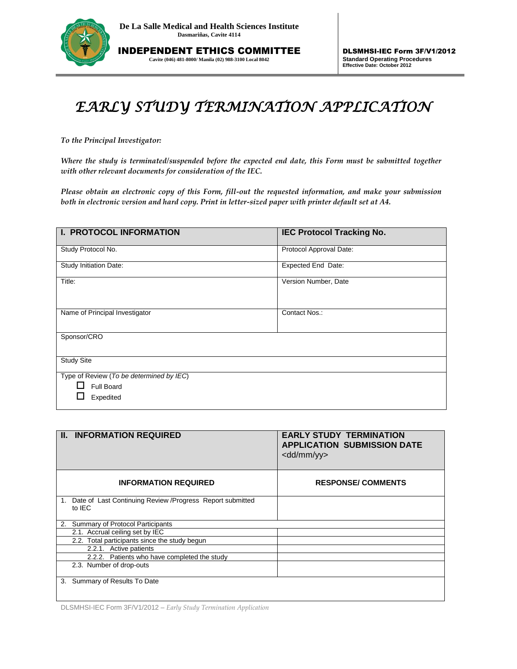

INDEPENDENT ETHICS COMMITTEE **Cavite (046) 481-8000/ Manila (02) 988-3100 Local 8042**

## *EARLY STUDY TERMINATION APPLICATION*

*To the Principal Investigator:* 

*Where the study is terminated/suspended before the expected end date, this Form must be submitted together with other relevant documents for consideration of the IEC.*

*Please obtain an electronic copy of this Form, fill-out the requested information, and make your submission both in electronic version and hard copy. Print in letter-sized paper with printer default set at A4.*

| I. PROTOCOL INFORMATION                                             | <b>IEC Protocol Tracking No.</b> |  |  |  |
|---------------------------------------------------------------------|----------------------------------|--|--|--|
| Study Protocol No.                                                  | Protocol Approval Date:          |  |  |  |
| Study Initiation Date:                                              | <b>Expected End Date:</b>        |  |  |  |
| Title:                                                              | Version Number, Date             |  |  |  |
| Name of Principal Investigator                                      | Contact Nos.:                    |  |  |  |
| Sponsor/CRO                                                         |                                  |  |  |  |
| <b>Study Site</b>                                                   |                                  |  |  |  |
| Type of Review (To be determined by IEC)<br>Full Board<br>Expedited |                                  |  |  |  |

|    | <b>II. INFORMATION REQUIRED</b>                                      | <b>EARLY STUDY TERMINATION</b><br><b>APPLICATION SUBMISSION DATE</b><br>$<$ dd/mm/yy $>$ |  |
|----|----------------------------------------------------------------------|------------------------------------------------------------------------------------------|--|
|    | <b>INFORMATION REQUIRED</b>                                          | <b>RESPONSE/COMMENTS</b>                                                                 |  |
| 1. | Date of Last Continuing Review / Progress Report submitted<br>to IEC |                                                                                          |  |
| 2. | Summary of Protocol Participants                                     |                                                                                          |  |
|    | 2.1. Accrual ceiling set by IEC                                      |                                                                                          |  |
|    | 2.2. Total participants since the study begun                        |                                                                                          |  |
|    | 2.2.1. Active patients                                               |                                                                                          |  |
|    | 2.2.2. Patients who have completed the study                         |                                                                                          |  |
|    | 2.3. Number of drop-outs                                             |                                                                                          |  |
| 3. | Summary of Results To Date                                           |                                                                                          |  |

DLSMHSI-IEC Form 3F/V1/2012 – *Early Study Termination Application*